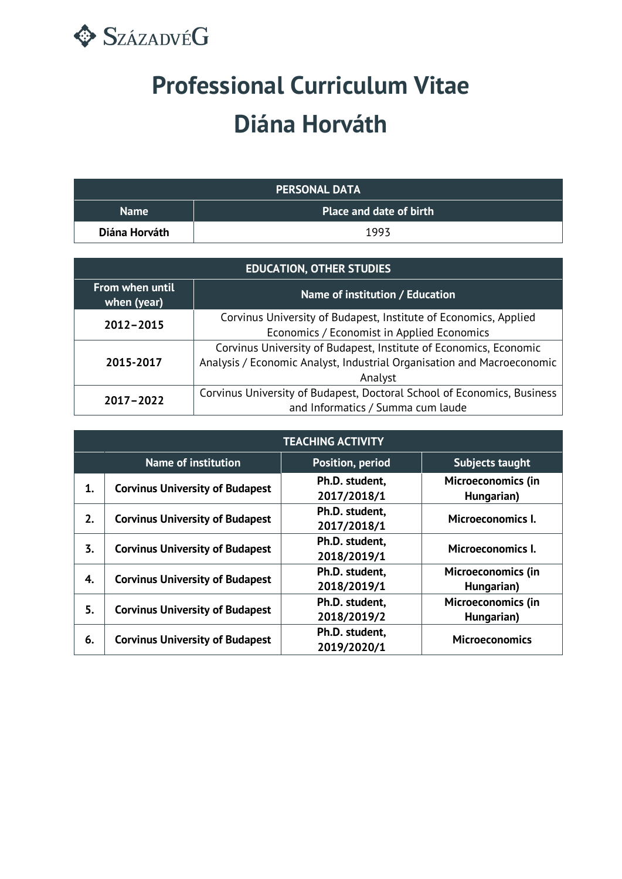

## **Professional Curriculum Vitae Diána Horváth**

| <b>PERSONAL DATA</b> |                                |  |
|----------------------|--------------------------------|--|
| <b>Name</b>          | <b>Place and date of birth</b> |  |
| Diána Horváth        | 1993                           |  |

| <b>EDUCATION, OTHER STUDIES</b> |                                                                                                                                                        |  |
|---------------------------------|--------------------------------------------------------------------------------------------------------------------------------------------------------|--|
| From when until<br>when (year)  | Name of institution / Education                                                                                                                        |  |
| 2012-2015                       | Corvinus University of Budapest, Institute of Economics, Applied<br>Economics / Economist in Applied Economics                                         |  |
| 2015-2017                       | Corvinus University of Budapest, Institute of Economics, Economic<br>Analysis / Economic Analyst, Industrial Organisation and Macroeconomic<br>Analyst |  |
| 2017-2022                       | Corvinus University of Budapest, Doctoral School of Economics, Business<br>and Informatics / Summa cum laude                                           |  |

| <b>TEACHING ACTIVITY</b> |                                        |                               |                                         |
|--------------------------|----------------------------------------|-------------------------------|-----------------------------------------|
|                          | <b>Name of institution</b>             | <b>Position, period</b>       | Subjects taught                         |
| 1.                       | <b>Corvinus University of Budapest</b> | Ph.D. student.<br>2017/2018/1 | <b>Microeconomics (in</b><br>Hungarian) |
| 2.                       | <b>Corvinus University of Budapest</b> | Ph.D. student.<br>2017/2018/1 | Microeconomics I.                       |
| 3.                       | <b>Corvinus University of Budapest</b> | Ph.D. student,<br>2018/2019/1 | Microeconomics I.                       |
| 4.                       | <b>Corvinus University of Budapest</b> | Ph.D. student.<br>2018/2019/1 | <b>Microeconomics (in</b><br>Hungarian) |
| 5.                       | <b>Corvinus University of Budapest</b> | Ph.D. student.<br>2018/2019/2 | Microeconomics (in<br>Hungarian)        |
| 6.                       | <b>Corvinus University of Budapest</b> | Ph.D. student,<br>2019/2020/1 | <b>Microeconomics</b>                   |